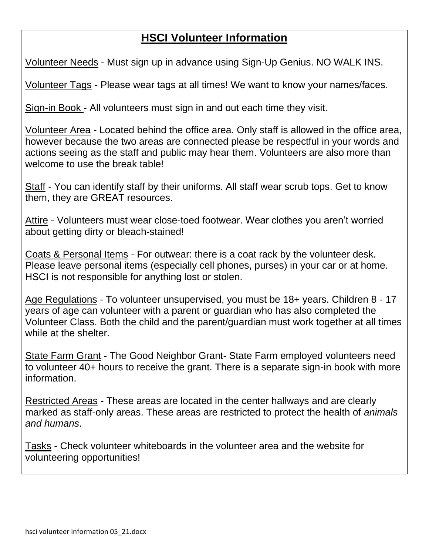## **HSCI Volunteer Information**

Volunteer Needs - Must sign up in advance using Sign-Up Genius. NO WALK INS.

Volunteer Tags - Please wear tags at all times! We want to know your names/faces.

Sign-in Book - All volunteers must sign in and out each time they visit.

Volunteer Area - Located behind the office area. Only staff is allowed in the office area, however because the two areas are connected please be respectful in your words and actions seeing as the staff and public may hear them. Volunteers are also more than welcome to use the break table!

Staff - You can identify staff by their uniforms. All staff wear scrub tops. Get to know them, they are GREAT resources.

Attire - Volunteers must wear close-toed footwear. Wear clothes you aren't worried about getting dirty or bleach-stained!

Coats & Personal Items - For outwear: there is a coat rack by the volunteer desk. Please leave personal items (especially cell phones, purses) in your car or at home. HSCI is not responsible for anything lost or stolen.

Age Regulations - To volunteer unsupervised, you must be 18+ years. Children 8 - 17 years of age can volunteer with a parent or guardian who has also completed the Volunteer Class. Both the child and the parent/guardian must work together at all times while at the shelter.

State Farm Grant - The Good Neighbor Grant- State Farm employed volunteers need to volunteer 40+ hours to receive the grant. There is a separate sign-in book with more information.

Restricted Areas - These areas are located in the center hallways and are clearly marked as staff-only areas. These areas are restricted to protect the health of *animals and humans*.

Tasks - Check volunteer whiteboards in the volunteer area and the website for volunteering opportunities!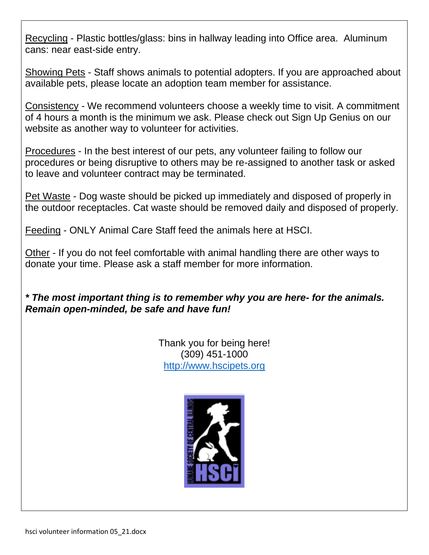Recycling - Plastic bottles/glass: bins in hallway leading into Office area. Aluminum cans: near east-side entry.

Showing Pets - Staff shows animals to potential adopters. If you are approached about available pets, please locate an adoption team member for assistance.

Consistency - We recommend volunteers choose a weekly time to visit. A commitment of 4 hours a month is the minimum we ask. Please check out Sign Up Genius on our website as another way to volunteer for activities.

Procedures - In the best interest of our pets, any volunteer failing to follow our procedures or being disruptive to others may be re-assigned to another task or asked to leave and volunteer contract may be terminated.

Pet Waste - Dog waste should be picked up immediately and disposed of properly in the outdoor receptacles. Cat waste should be removed daily and disposed of properly.

Feeding - ONLY Animal Care Staff feed the animals here at HSCI.

Other - If you do not feel comfortable with animal handling there are other ways to donate your time. Please ask a staff member for more information.

*\* The most important thing is to remember why you are here- for the animals. Remain open-minded, be safe and have fun!* 

> Thank you for being here! (309) 451-1000 [http://www.hscipets.org](http://www.hscipets.org/)

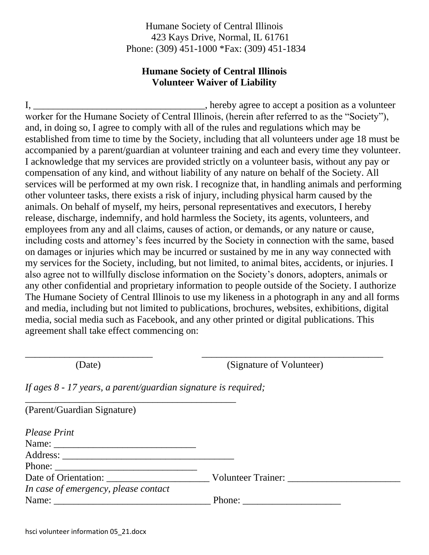Humane Society of Central Illinois 423 Kays Drive, Normal, IL 61761 Phone: (309) 451-1000 \*Fax: (309) 451-1834

## **Humane Society of Central Illinois Volunteer Waiver of Liability**

I, \_\_\_\_\_\_\_\_\_\_\_\_\_\_\_\_\_\_\_\_\_\_\_\_\_\_\_\_\_\_\_\_\_\_\_, hereby agree to accept a position as a volunteer worker for the Humane Society of Central Illinois, (herein after referred to as the "Society"), and, in doing so, I agree to comply with all of the rules and regulations which may be established from time to time by the Society, including that all volunteers under age 18 must be accompanied by a parent/guardian at volunteer training and each and every time they volunteer. I acknowledge that my services are provided strictly on a volunteer basis, without any pay or compensation of any kind, and without liability of any nature on behalf of the Society. All services will be performed at my own risk. I recognize that, in handling animals and performing other volunteer tasks, there exists a risk of injury, including physical harm caused by the animals. On behalf of myself, my heirs, personal representatives and executors, I hereby release, discharge, indemnify, and hold harmless the Society, its agents, volunteers, and employees from any and all claims, causes of action, or demands, or any nature or cause, including costs and attorney's fees incurred by the Society in connection with the same, based on damages or injuries which may be incurred or sustained by me in any way connected with my services for the Society, including, but not limited, to animal bites, accidents, or injuries. I also agree not to willfully disclose information on the Society's donors, adopters, animals or any other confidential and proprietary information to people outside of the Society. I authorize The Humane Society of Central Illinois to use my likeness in a photograph in any and all forms and media, including but not limited to publications, brochures, websites, exhibitions, digital media, social media such as Facebook, and any other printed or digital publications. This agreement shall take effect commencing on:

(Date) (Signature of Volunteer)

*If ages 8 - 17 years, a parent/guardian signature is required;* 

| (Parent/Guardian Signature)          |                                                           |
|--------------------------------------|-----------------------------------------------------------|
| <b>Please Print</b>                  |                                                           |
|                                      |                                                           |
|                                      |                                                           |
|                                      |                                                           |
| Date of Orientation:                 | <b>Volunteer Trainer:</b>                                 |
| In case of emergency, please contact |                                                           |
|                                      | Phone: $\frac{1}{\sqrt{1-\frac{1}{2}} \cdot \frac{1}{2}}$ |

 $\overline{\phantom{a}}$  , and the contract of the contract of the contract of the contract of the contract of the contract of the contract of the contract of the contract of the contract of the contract of the contract of the contrac